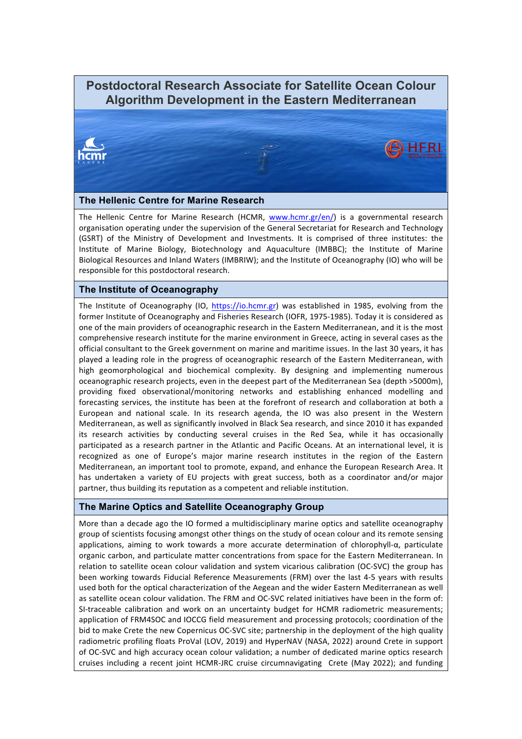# **Postdoctoral Research Associate for Satellite Ocean Colour Algorithm Development in the Eastern Mediterranean**



#### **The Hellenic Centre for Marine Research**

The Hellenic Centre for Marine Research (HCMR, www.hcmr.gr/en/) is a governmental research organisation operating under the supervision of the General Secretariat for Research and Technology (GSRT) of the Ministry of Development and Investments. It is comprised of three institutes: the Institute of Marine Biology, Biotechnology and Aquaculture (IMBBC); the Institute of Marine Biological Resources and Inland Waters (IMBRIW); and the Institute of Oceanography (IO) who will be responsible for this postdoctoral research.

#### **The Institute of Oceanography**

The Institute of Oceanography (IO, https://io.hcmr.gr) was established in 1985, evolving from the former Institute of Oceanography and Fisheries Research (IOFR, 1975-1985). Today it is considered as one of the main providers of oceanographic research in the Eastern Mediterranean, and it is the most comprehensive research institute for the marine environment in Greece, acting in several cases as the official consultant to the Greek government on marine and maritime issues. In the last 30 years, it has played a leading role in the progress of oceanographic research of the Eastern Mediterranean, with high geomorphological and biochemical complexity. By designing and implementing numerous oceanographic research projects, even in the deepest part of the Mediterranean Sea (depth >5000m), providing fixed observational/monitoring networks and establishing enhanced modelling and forecasting services, the institute has been at the forefront of research and collaboration at both a European and national scale. In its research agenda, the IO was also present in the Western Mediterranean, as well as significantly involved in Black Sea research, and since 2010 it has expanded its research activities by conducting several cruises in the Red Sea, while it has occasionally participated as a research partner in the Atlantic and Pacific Oceans. At an international level, it is recognized as one of Europe's major marine research institutes in the region of the Eastern Mediterranean, an important tool to promote, expand, and enhance the European Research Area. It has undertaken a variety of EU projects with great success, both as a coordinator and/or major partner, thus building its reputation as a competent and reliable institution.

### **The Marine Optics and Satellite Oceanography Group**

More than a decade ago the IO formed a multidisciplinary marine optics and satellite oceanography group of scientists focusing amongst other things on the study of ocean colour and its remote sensing applications, aiming to work towards a more accurate determination of chlorophyll- $\alpha$ , particulate organic carbon, and particulate matter concentrations from space for the Eastern Mediterranean. In relation to satellite ocean colour validation and system vicarious calibration (OC-SVC) the group has been working towards Fiducial Reference Measurements (FRM) over the last 4-5 years with results used both for the optical characterization of the Aegean and the wider Eastern Mediterranean as well as satellite ocean colour validation. The FRM and OC-SVC related initiatives have been in the form of: SI-traceable calibration and work on an uncertainty budget for HCMR radiometric measurements; application of FRM4SOC and IOCCG field measurement and processing protocols; coordination of the bid to make Crete the new Copernicus OC-SVC site; partnership in the deployment of the high quality radiometric profiling floats ProVal (LOV, 2019) and HyperNAV (NASA, 2022) around Crete in support of OC-SVC and high accuracy ocean colour validation; a number of dedicated marine optics research cruises including a recent joint HCMR-JRC cruise circumnavigating Crete (May 2022); and funding